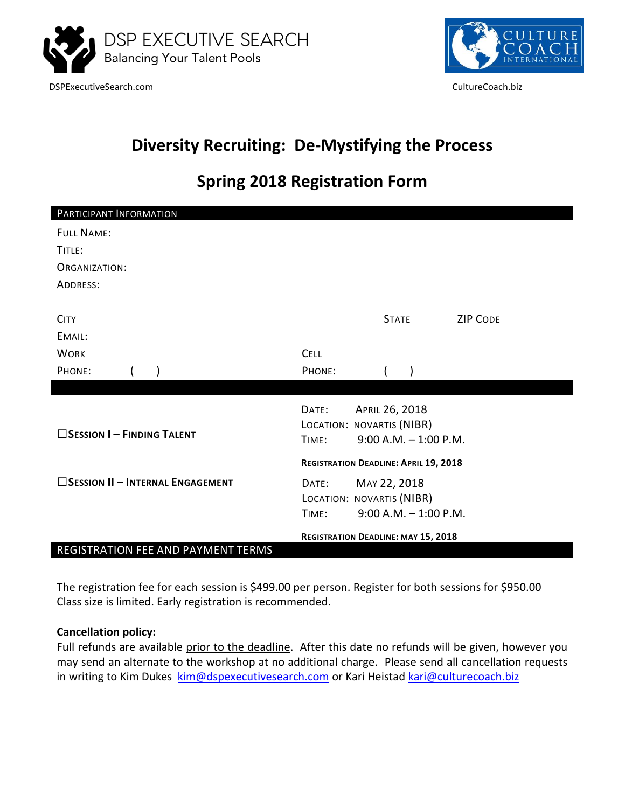

DSPExecutiveSearch.com CultureCoach.biz



## **Diversity Recruiting: De-Mystifying the Process**

## **Spring 2018 Registration Form**

| PARTICIPANT INFORMATION                    |             |                                              |                 |  |
|--------------------------------------------|-------------|----------------------------------------------|-----------------|--|
| <b>FULL NAME:</b>                          |             |                                              |                 |  |
| TITLE:                                     |             |                                              |                 |  |
| ORGANIZATION:                              |             |                                              |                 |  |
| ADDRESS:                                   |             |                                              |                 |  |
|                                            |             |                                              |                 |  |
| <b>CITY</b>                                |             | <b>STATE</b>                                 | <b>ZIP CODE</b> |  |
| EMAIL:                                     |             |                                              |                 |  |
| <b>WORK</b>                                | <b>CELL</b> |                                              |                 |  |
| PHONE:                                     | PHONE:      |                                              |                 |  |
|                                            |             |                                              |                 |  |
|                                            | DATE:       | APRIL 26, 2018                               |                 |  |
| $\square$ Session I – Finding Talent       |             | LOCATION: NOVARTIS (NIBR)                    |                 |  |
|                                            | TIME:       | $9:00$ A.M. $-1:00$ P.M.                     |                 |  |
|                                            |             | <b>REGISTRATION DEADLINE: APRIL 19, 2018</b> |                 |  |
| $\square$ Session II – Internal Engagement | DATE:       | MAY 22, 2018                                 |                 |  |
|                                            |             | LOCATION: NOVARTIS (NIBR)                    |                 |  |
|                                            | TIME:       | $9:00$ A.M. $-1:00$ P.M.                     |                 |  |
|                                            |             | <b>REGISTRATION DEADLINE: MAY 15, 2018</b>   |                 |  |
| REGISTRATION FEE AND PAYMENT TERMS         |             |                                              |                 |  |

The registration fee for each session is \$499.00 per person. Register for both sessions for \$950.00 Class size is limited. Early registration is recommended.

## **Cancellation policy:**

Full refunds are available prior to the deadline. After this date no refunds will be given, however you may send an alternate to the workshop at no additional charge. Please send all cancellation requests in writing to Kim Dukes [kim@dspexecutivesearch.com](mailto:kim@dspexecutivesearch.com) or Kari Heistad [kari@culturecoach.biz](mailto:kari@culturecoach.biz)